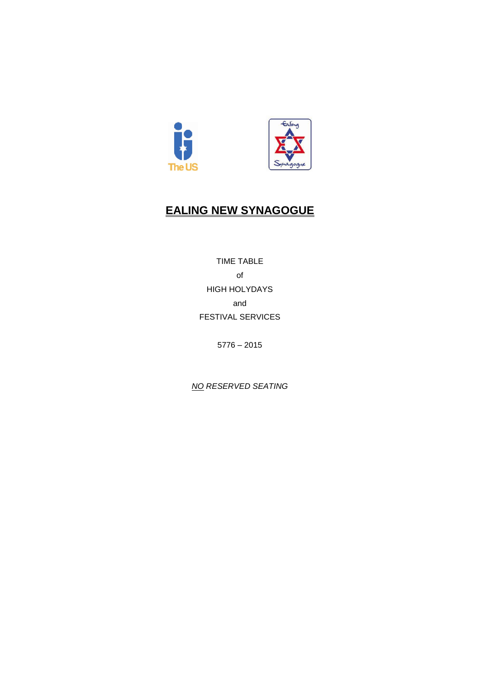

# **EALING NEW SYNAGOGUE**

TIME TABLE of HIGH HOLYDAYS and FESTIVAL SERVICES

5776 – 2015

*NO RESERVED SEATING*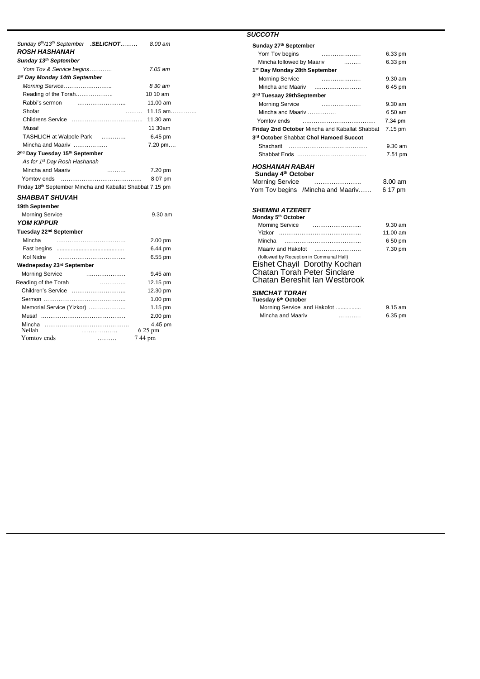| Sunday 6 <sup>th</sup> /13 <sup>th</sup> September .SELICHOT | 8.00 am                    |
|--------------------------------------------------------------|----------------------------|
| ROSH HASHANAH                                                |                            |
| Sunday 13th September                                        |                            |
| Yom Tov & Service begins                                     | $7.05$ am                  |
| 1 <sup>st</sup> Day Monday 14th September                    |                            |
| Morning Service                                              | 8 30 am                    |
| Reading of the Torah                                         | 10 10 am                   |
| Rabbi's sermon                                               | 11.00 am                   |
| Shofar<br>.                                                  | 11.15 $am$                 |
|                                                              | 11.30 am                   |
| Musaf                                                        | 11 30am                    |
| TASHLICH at Walpole Park                                     | 6.45 pm                    |
| Mincha and Maariv                                            | $7.20 \,\mathrm{pm} \dots$ |
| 2 <sup>nd</sup> Day Tuesday 15 <sup>th</sup> September       |                            |
| As for 1 <sup>st</sup> Day Rosh Hashanah                     |                            |
| Mincha and Maariv<br>.                                       | 7.20 pm                    |
| Yomtov ends                                                  | 8 07 pm                    |
| Friday 18th September Mincha and Kaballat Shabbat 7.15 pm    |                            |
| <i>SHABBAT SHUVA</i> H                                       |                            |
| 19th September                                               |                            |
| <b>Morning Service</b>                                       | $9.30$ am                  |
| <b>YOM KIPPUR</b>                                            |                            |
| Tuesday 22 <sup>nd</sup> September                           |                            |
| Mincha                                                       | $2.00 \text{ pm}$          |
|                                                              | 6.44 pm                    |
| Kol Nidre<br>                                                | 6.55 pm                    |
| Wednepsday 23rd September                                    |                            |
| <b>Morning Service</b>                                       | 9.45 am                    |
| Reading of the Torah<br>.                                    | 12.15 pm                   |
|                                                              | 12.30 pm                   |
|                                                              | 1.00 pm                    |
| Memorial Service (Yizkor)                                    | $1.15$ pm                  |
|                                                              | 2.00 pm                    |
| Mincha<br>Neilah                                             | 4.45 pm<br>6 25 pm         |
| .<br>Yomtov ends<br>.                                        | 744 pm                     |
|                                                              |                            |

### *SUCCOTH*

| Sunday 27 <sup>th</sup> September                             |                                                                                                |                                           |
|---------------------------------------------------------------|------------------------------------------------------------------------------------------------|-------------------------------------------|
| Yom Tov begins                                                |                                                                                                | 6.33 pm                                   |
| Mincha followed by Maariv                                     | .                                                                                              | 6.33 pm                                   |
| 1 <sup>st</sup> Day Monday 28th September                     |                                                                                                |                                           |
|                                                               | Morning Service <b>Constructs</b> Morning Service                                              | 9.30 am                                   |
| Mincha and Maariv                                             |                                                                                                | 645 pm                                    |
| 2 <sup>nd</sup> Tuesaay 29thSeptember                         |                                                                                                |                                           |
| <b>Morning Service</b>                                        |                                                                                                | 9.30 am                                   |
| Mincha and Maariv                                             |                                                                                                | 6.50 am                                   |
| Yomtov ends                                                   |                                                                                                | 7.34 pm                                   |
|                                                               | Friday 2nd October Mincha and Kaballat Shabbat                                                 | 7.15 pm                                   |
|                                                               | 3rd October Shabbat Chol Hamoed Succot                                                         |                                           |
| Shacharit                                                     |                                                                                                | 9.30 am                                   |
|                                                               |                                                                                                | 7.51 pm                                   |
| HOSHANAH RABAH<br>Sunday 4 <sup>th</sup> October              | Morning Service<br>Yom Tov begins /Mincha and Maariv                                           | $8.00$ am<br>6 17 pm                      |
| <i><b>SHEMINI ATZERET</b></i><br>Monday 5th October<br>Mincha | Maariv and Hakofot<br>(followed by Reception in Communal Hall)<br>Eishet Chayil Dorothy Kochan | 9.30 am<br>11.00 am<br>6 50 pm<br>7.30 pm |

## Chatan Bereshit Ian Westbrook

### *SIMCHAT TORAH* **Tuesday 6th October**

| desuay on October           |   |           |
|-----------------------------|---|-----------|
| Morning Service and Hakofot |   | $9.15$ am |
| Mincha and Maariv           | . | 6.35 pm   |